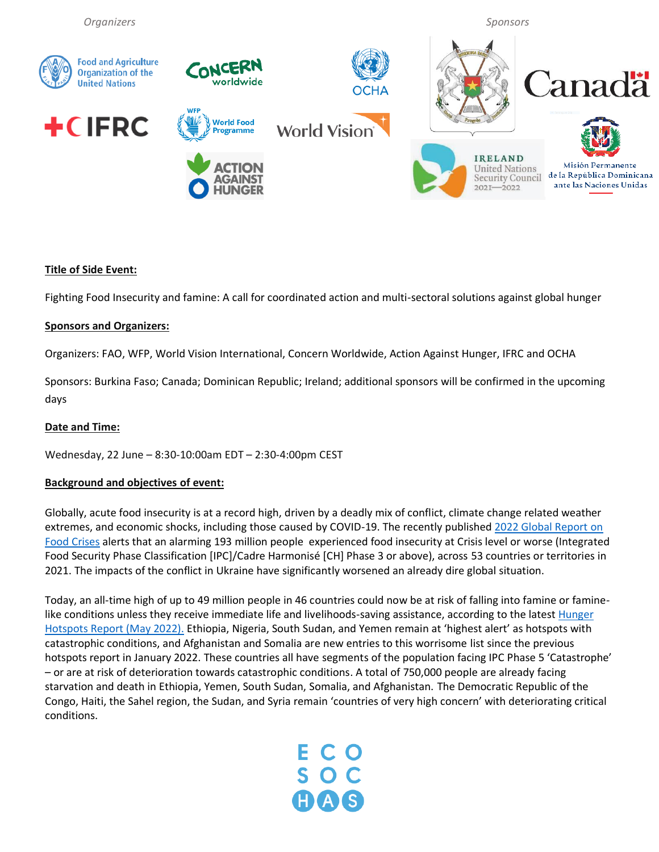

### **Title of Side Event:**

Fighting Food Insecurity and famine: A call for coordinated action and multi-sectoral solutions against global hunger

### **Sponsors and Organizers:**

Organizers: FAO, WFP, World Vision International, Concern Worldwide, Action Against Hunger, IFRC and OCHA

Sponsors: Burkina Faso; Canada; Dominican Republic; Ireland; additional sponsors will be confirmed in the upcoming days

#### **Date and Time:**

Wednesday, 22 June – 8:30-10:00am EDT – 2:30-4:00pm CEST

### **Background and objectives of event:**

Globally, acute food insecurity is at a record high, driven by a deadly mix of conflict, climate change related weather extremes, and economic shocks, including those caused by COVID-19. The recently publishe[d 2022 Global Report on](http://www.fightfoodcrises.net/events/grfc-2022/en/)  [Food Crises](http://www.fightfoodcrises.net/events/grfc-2022/en/) alerts that an alarming 193 million people experienced food insecurity at Crisis level or worse (Integrated Food Security Phase Classification [IPC]/Cadre Harmonisé [CH] Phase 3 or above), across 53 countries or territories in 2021. The impacts of the conflict in Ukraine have significantly worsened an already dire global situation.

Today, an all-time high of up to 49 million people in 46 countries could now be at risk of falling into famine or faminelike conditions unless they receive immediate life and livelihoods-saving assistance, according to the latest Hunger [Hotspots Report \(May 2022\).](https://www.fao.org/3/cc0364en/cc0364en.pdf) Ethiopia, Nigeria, South Sudan, and Yemen remain at 'highest alert' as hotspots with catastrophic conditions, and Afghanistan and Somalia are new entries to this worrisome list since the previous hotspots report in January 2022. These countries all have segments of the population facing IPC Phase 5 'Catastrophe' – or are at risk of deterioration towards catastrophic conditions. A total of 750,000 people are already facing starvation and death in Ethiopia, Yemen, South Sudan, Somalia, and Afghanistan. The Democratic Republic of the Congo, Haiti, the Sahel region, the Sudan, and Syria remain 'countries of very high concern' with deteriorating critical conditions.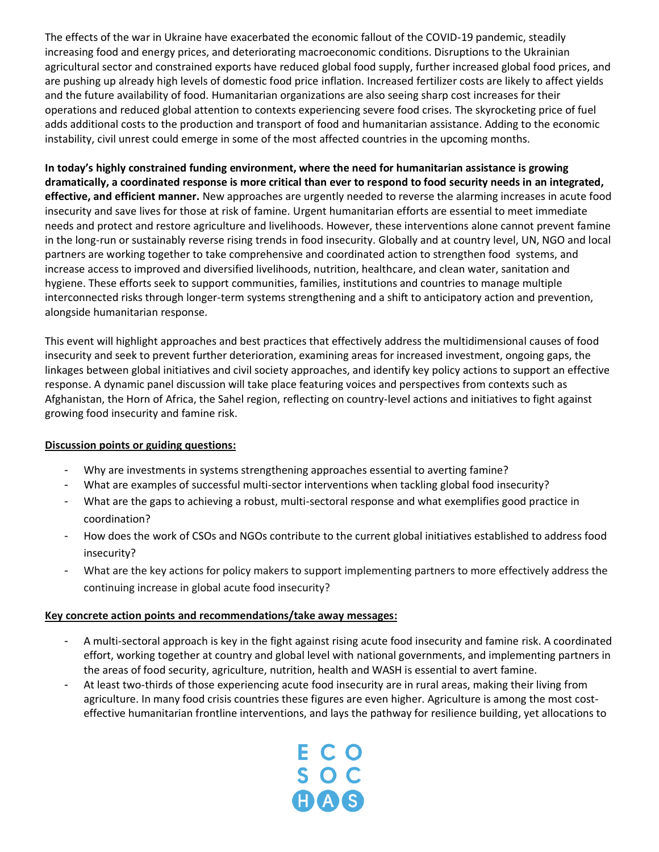The effects of the war in Ukraine have exacerbated the economic fallout of the COVID-19 pandemic, steadily increasing food and energy prices, and deteriorating macroeconomic conditions. Disruptions to the Ukrainian agricultural sector and constrained exports have reduced global food supply, further increased global food prices, and are pushing up already high levels of domestic food price inflation. Increased fertilizer costs are likely to affect yields and the future availability of food. Humanitarian organizations are also seeing sharp cost increases for their operations and reduced global attention to contexts experiencing severe food crises. The skyrocketing price of fuel adds additional costs to the production and transport of food and humanitarian assistance. Adding to the economic instability, civil unrest could emerge in some of the most affected countries in the upcoming months.

**In today's highly constrained funding environment, where the need for humanitarian assistance is growing dramatically, a coordinated response is more critical than ever to respond to food security needs in an integrated, effective, and efficient manner.** New approaches are urgently needed to reverse the alarming increases in acute food insecurity and save lives for those at risk of famine. Urgent humanitarian efforts are essential to meet immediate needs and protect and restore agriculture and livelihoods. However, these interventions alone cannot prevent famine in the long-run or sustainably reverse rising trends in food insecurity. Globally and at country level, UN, NGO and local partners are working together to take comprehensive and coordinated action to strengthen food systems, and increase access to improved and diversified livelihoods, nutrition, healthcare, and clean water, sanitation and hygiene. These efforts seek to support communities, families, institutions and countries to manage multiple interconnected risks through longer-term systems strengthening and a shift to anticipatory action and prevention, alongside humanitarian response.

This event will highlight approaches and best practices that effectively address the multidimensional causes of food insecurity and seek to prevent further deterioration, examining areas for increased investment, ongoing gaps, the linkages between global initiatives and civil society approaches, and identify key policy actions to support an effective response. A dynamic panel discussion will take place featuring voices and perspectives from contexts such as Afghanistan, the Horn of Africa, the Sahel region, reflecting on country-level actions and initiatives to fight against growing food insecurity and famine risk.

# **Discussion points or guiding questions:**

- Why are investments in systems strengthening approaches essential to averting famine?
- What are examples of successful multi-sector interventions when tackling global food insecurity?
- What are the gaps to achieving a robust, multi-sectoral response and what exemplifies good practice in coordination?
- How does the work of CSOs and NGOs contribute to the current global initiatives established to address food insecurity?
- What are the key actions for policy makers to support implementing partners to more effectively address the continuing increase in global acute food insecurity?

### **Key concrete action points and recommendations/take away messages:**

- A multi-sectoral approach is key in the fight against rising acute food insecurity and famine risk. A coordinated effort, working together at country and global level with national governments, and implementing partners in the areas of food security, agriculture, nutrition, health and WASH is essential to avert famine.
- At least two-thirds of those experiencing acute food insecurity are in rural areas, making their living from agriculture. In many food crisis countries these figures are even higher. Agriculture is among the most costeffective humanitarian frontline interventions, and lays the pathway for resilience building, yet allocations to

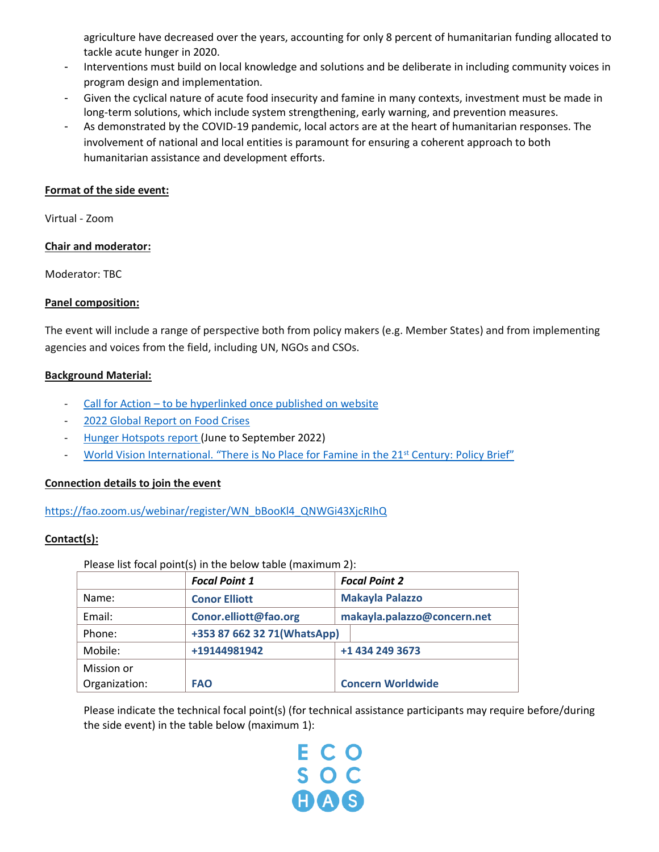agriculture have decreased over the years, accounting for only 8 percent of humanitarian funding allocated to tackle acute hunger in 2020.

- Interventions must build on local knowledge and solutions and be deliberate in including community voices in program design and implementation.
- Given the cyclical nature of acute food insecurity and famine in many contexts, investment must be made in long-term solutions, which include system strengthening, early warning, and prevention measures.
- As demonstrated by the COVID-19 pandemic, local actors are at the heart of humanitarian responses. The involvement of national and local entities is paramount for ensuring a coherent approach to both humanitarian assistance and development efforts.

### **Format of the side event:**

Virtual - Zoom

# **Chair and moderator:**

Moderator: TBC

# **Panel composition:**

The event will include a range of perspective both from policy makers (e.g. Member States) and from implementing agencies and voices from the field, including UN, NGOs and CSOs.

# **Background Material:**

- Call for Action [to be hyperlinked once published on website](https://fscluster.org/sites/default/files/documents/23may2022_hunger_crisis_consolidated_framework_.pdf)
- 2022 Global [Report on Food Crises](http://www.fightfoodcrises.net/events/grfc-2022/en/)
- [Hunger Hotspots](https://www.fao.org/3/cc0364en/cc0364en.pdf) report (June to September 2022)
- [World Vision International. "There is No Place for Famine in the 21](https://www.wvi.org/publications/policy-briefing/there-no-place-famine-21st-century)<sup>st</sup> Century: Policy Brief"

# **Connection details to join the event**

[https://fao.zoom.us/webinar/register/WN\\_bBooKl4\\_QNWGi43XjcRIhQ](https://fao.zoom.us/webinar/register/WN_bBooKl4_QNWGi43XjcRIhQ)

# **Contact(s):**

Please list focal point(s) in the below table (maximum 2):

|               | <b>Focal Point 1</b>        | <b>Focal Point 2</b>        |
|---------------|-----------------------------|-----------------------------|
| Name:         | <b>Conor Elliott</b>        | <b>Makayla Palazzo</b>      |
| Email:        | Conor.elliott@fao.org       | makayla.palazzo@concern.net |
| Phone:        | +353 87 662 32 71(WhatsApp) |                             |
| Mobile:       | +19144981942                | +1 434 249 3673             |
| Mission or    |                             |                             |
| Organization: | <b>FAO</b>                  | <b>Concern Worldwide</b>    |

Please indicate the technical focal point(s) (for technical assistance participants may require before/during the side event) in the table below (maximum 1):